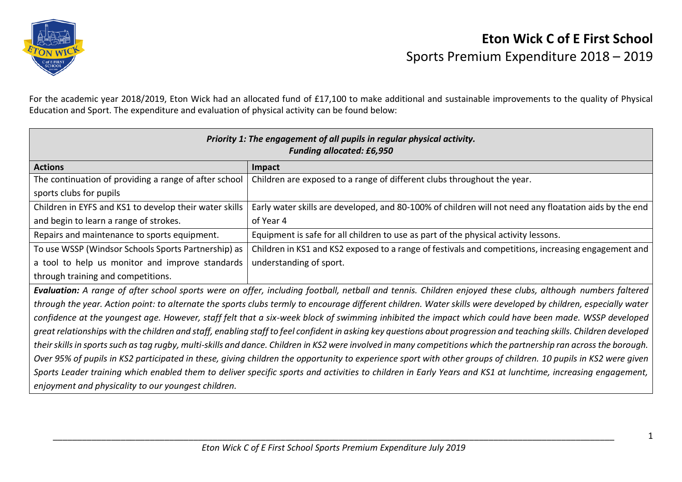

For the academic year 2018/2019, Eton Wick had an allocated fund of £17,100 to make additional and sustainable improvements to the quality of Physical Education and Sport. The expenditure and evaluation of physical activity can be found below:

| Priority 1: The engagement of all pupils in regular physical activity.<br><b>Funding allocated: £6,950</b>                                                          |                                                                                                        |  |
|---------------------------------------------------------------------------------------------------------------------------------------------------------------------|--------------------------------------------------------------------------------------------------------|--|
| <b>Actions</b>                                                                                                                                                      | Impact                                                                                                 |  |
| The continuation of providing a range of after school                                                                                                               | Children are exposed to a range of different clubs throughout the year.                                |  |
| sports clubs for pupils                                                                                                                                             |                                                                                                        |  |
| Children in EYFS and KS1 to develop their water skills                                                                                                              | Early water skills are developed, and 80-100% of children will not need any floatation aids by the end |  |
| and begin to learn a range of strokes.                                                                                                                              | of Year 4                                                                                              |  |
| Repairs and maintenance to sports equipment.                                                                                                                        | Equipment is safe for all children to use as part of the physical activity lessons.                    |  |
| To use WSSP (Windsor Schools Sports Partnership) as                                                                                                                 | Children in KS1 and KS2 exposed to a range of festivals and competitions, increasing engagement and    |  |
| a tool to help us monitor and improve standards                                                                                                                     | understanding of sport.                                                                                |  |
| through training and competitions.                                                                                                                                  |                                                                                                        |  |
| Evaluation: A range of after school sports were on offer, including football, netball and tennis. Children enjoyed these clubs, although numbers faltered           |                                                                                                        |  |
| through the year. Action point: to alternate the sports clubs termly to encourage different children. Water skills were developed by children, especially water     |                                                                                                        |  |
| confidence at the youngest age. However, staff felt that a six-week block of swimming inhibited the impact which could have been made. WSSP developed               |                                                                                                        |  |
| great relationships with the children and staff, enabling staff to feel confident in asking key questions about progression and teaching skills. Children developed |                                                                                                        |  |
| their skills in sports such as tag rugby, multi-skills and dance. Children in KS2 were involved in many competitions which the partnership ran across the borough.  |                                                                                                        |  |
| Over 95% of pupils in KS2 participated in these, giving children the opportunity to experience sport with other groups of children. 10 pupils in KS2 were given     |                                                                                                        |  |
| Sports Leader training which enabled them to deliver specific sports and activities to children in Early Years and KS1 at lunchtime, increasing engagement,         |                                                                                                        |  |
| enjoyment and physicality to our youngest children.                                                                                                                 |                                                                                                        |  |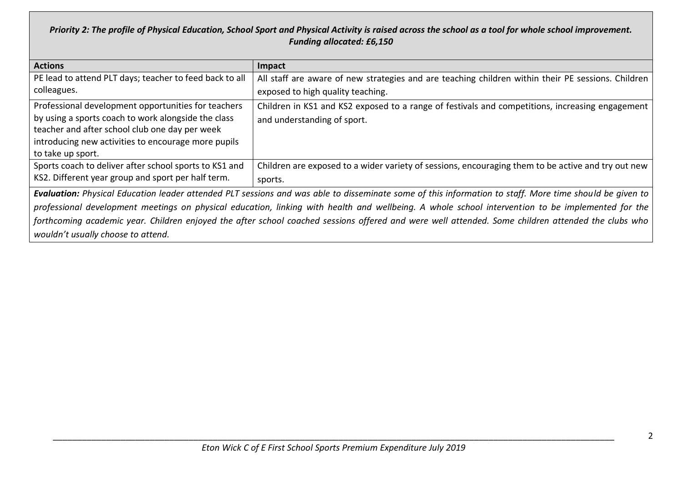## *Priority 2: The profile of Physical Education, School Sport and Physical Activity is raised across the school as a tool for whole school improvement. Funding allocated: £6,150*

| <b>Actions</b>                                                                                                                                          | Impact                                                                                             |  |
|---------------------------------------------------------------------------------------------------------------------------------------------------------|----------------------------------------------------------------------------------------------------|--|
| PE lead to attend PLT days; teacher to feed back to all                                                                                                 | All staff are aware of new strategies and are teaching children within their PE sessions. Children |  |
| colleagues.                                                                                                                                             | exposed to high quality teaching.                                                                  |  |
| Professional development opportunities for teachers                                                                                                     | Children in KS1 and KS2 exposed to a range of festivals and competitions, increasing engagement    |  |
| by using a sports coach to work alongside the class                                                                                                     | and understanding of sport.                                                                        |  |
| teacher and after school club one day per week                                                                                                          |                                                                                                    |  |
| introducing new activities to encourage more pupils                                                                                                     |                                                                                                    |  |
| to take up sport.                                                                                                                                       |                                                                                                    |  |
| Sports coach to deliver after school sports to KS1 and                                                                                                  | Children are exposed to a wider variety of sessions, encouraging them to be active and try out new |  |
| KS2. Different year group and sport per half term.                                                                                                      | sports.                                                                                            |  |
| Evaluation: Physical Education leader attended PLT sessions and was able to disseminate some of this information to staff. More time should be given to |                                                                                                    |  |
| professional development meetings on physical education, linking with health and wellbeing. A whole school intervention to be implemented for the       |                                                                                                    |  |
| forthcoming academic year. Children enjoyed the after school coached sessions offered and were well attended. Some children attended the clubs who      |                                                                                                    |  |

*wouldn't usually choose to attend.*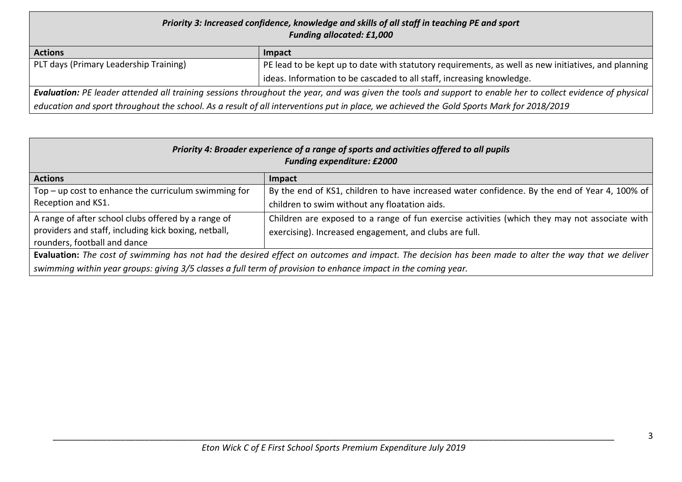## *Priority 3: Increased confidence, knowledge and skills of all staff in teaching PE and sport Funding allocated: £1,000* **Actions Impact** PLT days (Primary Leadership Training) PE lead to be kept up to date with statutory requirements, as well as new initiatives, and planning ideas. Information to be cascaded to all staff, increasing knowledge.

*Evaluation: PE leader attended all training sessions throughout the year, and was given the tools and support to enable her to collect evidence of physical education and sport throughout the school. As a result of all interventions put in place, we achieved the Gold Sports Mark for 2018/2019*

| Priority 4: Broader experience of a range of sports and activities offered to all pupils<br><b>Funding expenditure: £2000</b>               |                                                                                                                                                         |  |
|---------------------------------------------------------------------------------------------------------------------------------------------|---------------------------------------------------------------------------------------------------------------------------------------------------------|--|
| <b>Actions</b>                                                                                                                              | Impact                                                                                                                                                  |  |
| $Top$ – up cost to enhance the curriculum swimming for<br>Reception and KS1.                                                                | By the end of KS1, children to have increased water confidence. By the end of Year 4, 100% of<br>children to swim without any floatation aids.          |  |
| A range of after school clubs offered by a range of<br>providers and staff, including kick boxing, netball,<br>rounders, football and dance | Children are exposed to a range of fun exercise activities (which they may not associate with<br>exercising). Increased engagement, and clubs are full. |  |
|                                                                                                                                             | Evaluation: The cost of swimming has not had the desired effect on outcomes and impact. The decision has been made to alter the way that we deliver     |  |
| swimming within year groups: giving 3/5 classes a full term of provision to enhance impact in the coming year.                              |                                                                                                                                                         |  |